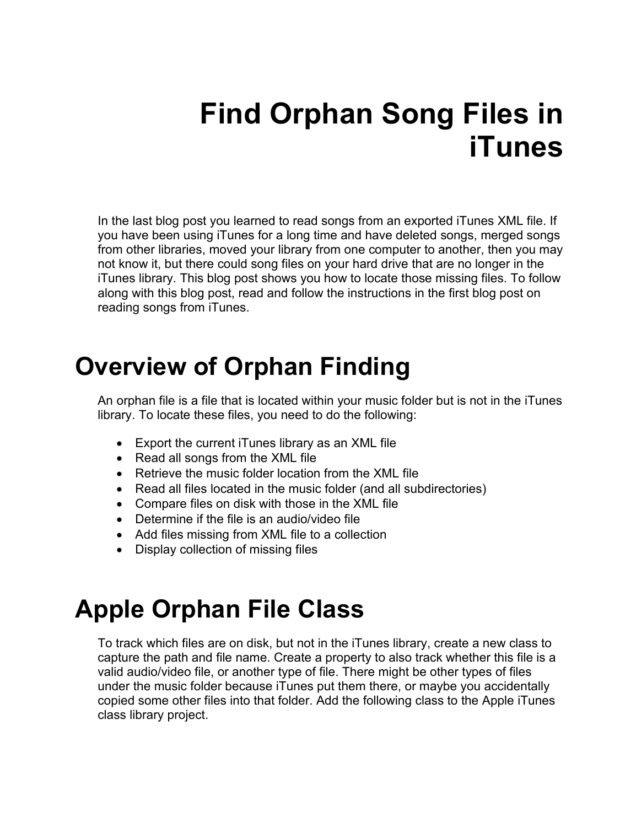# **Find Orphan Song Files in iTunes**

In the last blog post you learned to read songs from an exported iTunes XML file. If you have been using iTunes for a long time and have deleted songs, merged songs from other libraries, moved your library from one computer to another, then you may not know it, but there could song files on your hard drive that are no longer in the iTunes library. This blog post shows you how to locate those missing files. To follow along with this blog post, read and follow the instructions in the first blog post on reading songs from iTunes.

### **Overview of Orphan Finding**

An orphan file is a file that is located within your music folder but is not in the iTunes library. To locate these files, you need to do the following:

- Export the current iTunes library as an XML file
- Read all songs from the XML file
- Retrieve the music folder location from the XML file
- Read all files located in the music folder (and all subdirectories)
- Compare files on disk with those in the XML file
- Determine if the file is an audio/video file
- Add files missing from XML file to a collection
- Display collection of missing files

### **Apple Orphan File Class**

To track which files are on disk, but not in the iTunes library, create a new class to capture the path and file name. Create a property to also track whether this file is a valid audio/video file, or another type of file. There might be other types of files under the music folder because iTunes put them there, or maybe you accidentally copied some other files into that folder. Add the following class to the Apple iTunes class library project.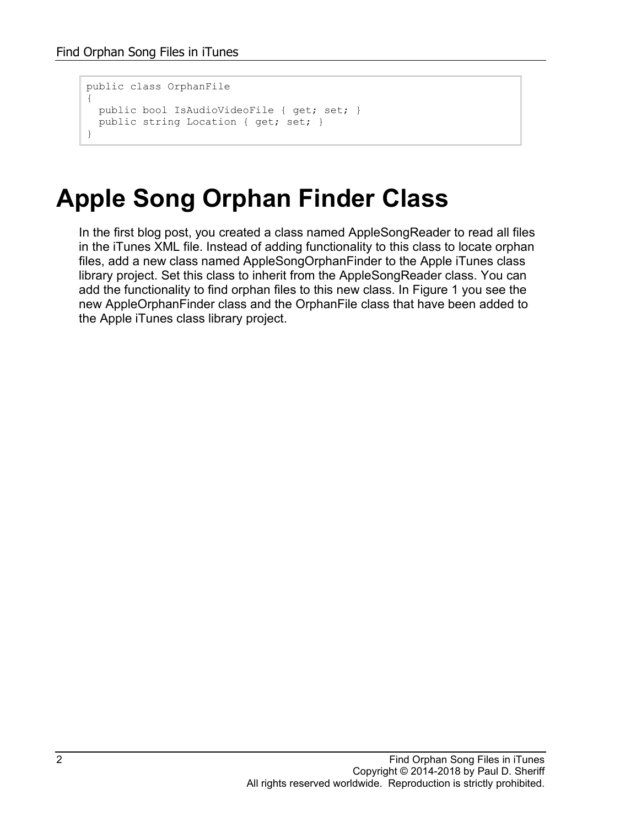```
public class OrphanFile
{
  public bool IsAudioVideoFile { get; set; }
  public string Location { get; set; }
}
```
### **Apple Song Orphan Finder Class**

In the first blog post, you created a class named AppleSongReader to read all files in the iTunes XML file. Instead of adding functionality to this class to locate orphan files, add a new class named AppleSongOrphanFinder to the Apple iTunes class library project. Set this class to inherit from the AppleSongReader class. You can add the functionality to find orphan files to this new class. In [Figure 1](#page-2-0) you see the new AppleOrphanFinder class and the OrphanFile class that have been added to the Apple iTunes class library project.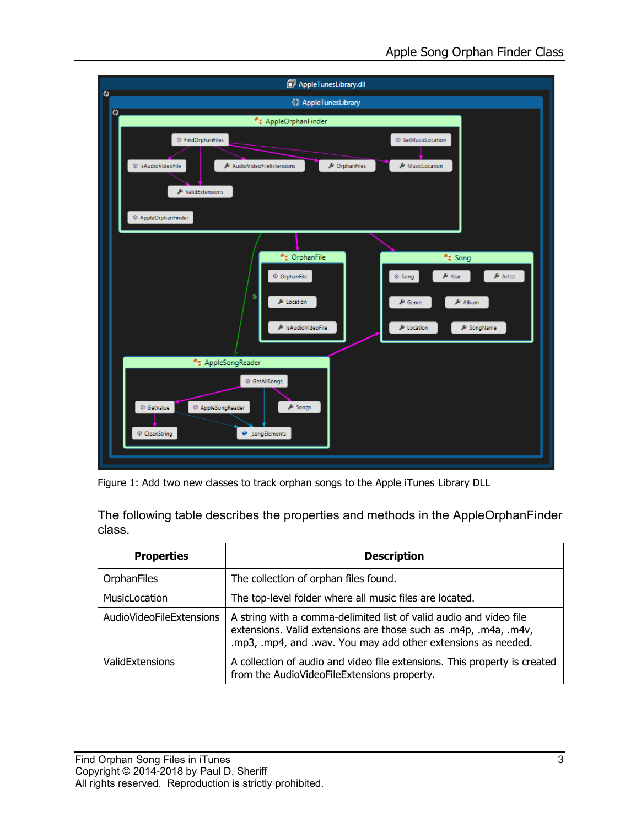

<span id="page-2-0"></span>Figure 1: Add two new classes to track orphan songs to the Apple iTunes Library DLL

The following table describes the properties and methods in the AppleOrphanFinder class.

| <b>Properties</b>        | <b>Description</b>                                                                                                                                                                                      |
|--------------------------|---------------------------------------------------------------------------------------------------------------------------------------------------------------------------------------------------------|
| <b>OrphanFiles</b>       | The collection of orphan files found.                                                                                                                                                                   |
| MusicLocation            | The top-level folder where all music files are located.                                                                                                                                                 |
| AudioVideoFileExtensions | A string with a comma-delimited list of valid audio and video file<br>extensions. Valid extensions are those such as .m4p, .m4a, .m4v,<br>.mp3, .mp4, and .wav. You may add other extensions as needed. |
| ValidExtensions          | A collection of audio and video file extensions. This property is created<br>from the AudioVideoFileExtensions property.                                                                                |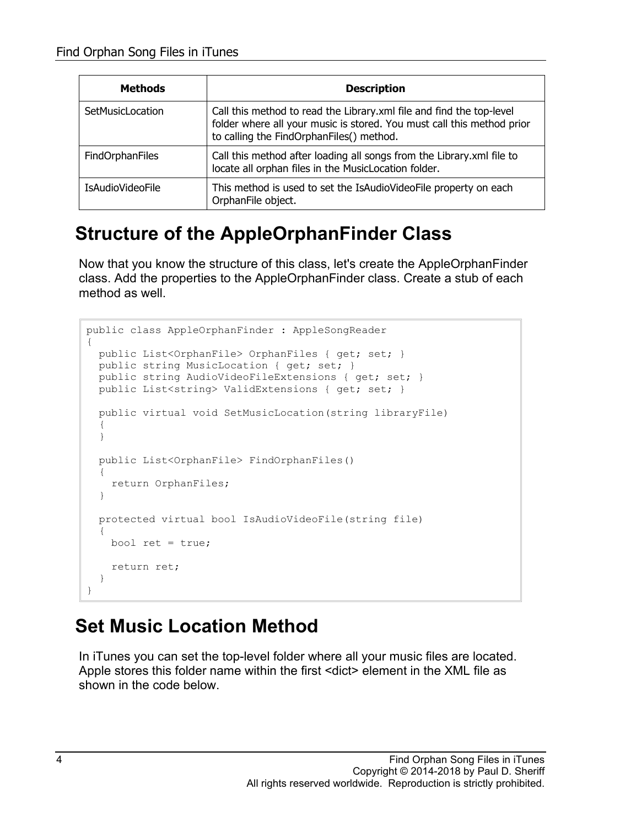| <b>Methods</b>         | <b>Description</b>                                                                                                                                                                         |
|------------------------|--------------------------------------------------------------------------------------------------------------------------------------------------------------------------------------------|
| SetMusicLocation       | Call this method to read the Library.xml file and find the top-level<br>folder where all your music is stored. You must call this method prior<br>to calling the FindOrphanFiles() method. |
| <b>FindOrphanFiles</b> | Call this method after loading all songs from the Library.xml file to<br>locate all orphan files in the MusicLocation folder.                                                              |
| IsAudioVideoFile       | This method is used to set the IsAudioVideoFile property on each<br>OrphanFile object.                                                                                                     |

#### **Structure of the AppleOrphanFinder Class**

Now that you know the structure of this class, let's create the AppleOrphanFinder class. Add the properties to the AppleOrphanFinder class. Create a stub of each method as well.

```
public class AppleOrphanFinder : AppleSongReader
{
  public List<OrphanFile> OrphanFiles { get; set; }
   public string MusicLocation { get; set; }
  public string AudioVideoFileExtensions { get; set; }
 public List<string> ValidExtensions { get; set; }
   public virtual void SetMusicLocation(string libraryFile)
   {
   }
  public List<OrphanFile> FindOrphanFiles()
   {
     return OrphanFiles;
 }
   protected virtual bool IsAudioVideoFile(string file)
\{bool ret = true; return ret;
   }
}
```
### **Set Music Location Method**

In iTunes you can set the top-level folder where all your music files are located. Apple stores this folder name within the first <dict> element in the XML file as shown in the code below.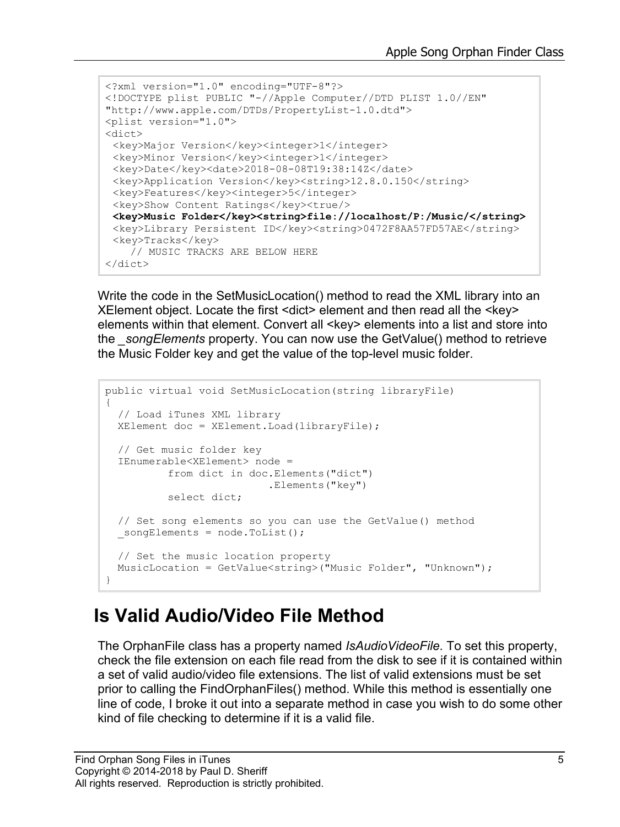```
<?xml version="1.0" encoding="UTF-8"?>
<!DOCTYPE plist PUBLIC "-//Apple Computer//DTD PLIST 1.0//EN" 
"http://www.apple.com/DTDs/PropertyList-1.0.dtd">
<plist version="1.0">
<dict>
 <key>Major Version</key><integer>1</integer>
 <key>Minor Version</key><integer>1</integer>
 <key>Date</key><date>2018-08-08T19:38:14Z</date>
 <key>Application Version</key><string>12.8.0.150</string>
 <key>Features</key><integer>5</integer>
 <key>Show Content Ratings</key><true/>
 <key>Music Folder</key><string>file://localhost/P:/Music/</string>
 <key>Library Persistent ID</key><string>0472F8AA57FD57AE</string>
 <key>Tracks</key>
     // MUSIC TRACKS ARE BELOW HERE
</dict>
```
Write the code in the SetMusicLocation() method to read the XML library into an XElement object. Locate the first <dict> element and then read all the <key> elements within that element. Convert all <key> elements into a list and store into the *\_songElements* property. You can now use the GetValue() method to retrieve the Music Folder key and get the value of the top-level music folder.

```
public virtual void SetMusicLocation(string libraryFile)
{
   // Load iTunes XML library
  XElement doc = XElement.Load(libraryFile);
  // Get music folder key
   IEnumerable<XElement> node =
          from dict in doc.Elements("dict")
                           .Elements("key")
           select dict;
  // Set song elements so you can use the GetValue() method
 songElements = node.ToList();
  // Set the music location property
  MusicLocation = GetValue<string>("Music Folder", "Unknown");
}
```
#### **Is Valid Audio/Video File Method**

The OrphanFile class has a property named *IsAudioVideoFile*. To set this property, check the file extension on each file read from the disk to see if it is contained within a set of valid audio/video file extensions. The list of valid extensions must be set prior to calling the FindOrphanFiles() method. While this method is essentially one line of code, I broke it out into a separate method in case you wish to do some other kind of file checking to determine if it is a valid file.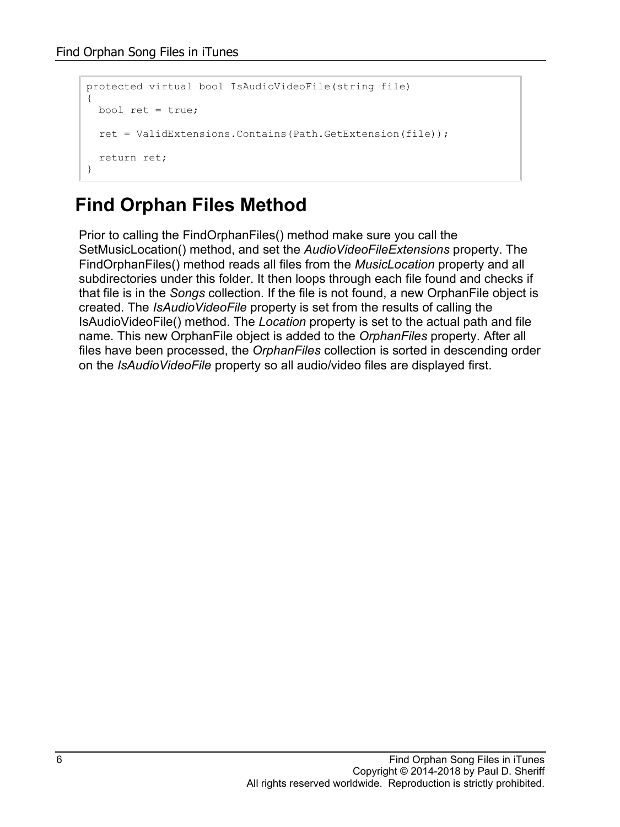```
protected virtual bool IsAudioVideoFile(string file)
{
  bool ret = true;
   ret = ValidExtensions.Contains(Path.GetExtension(file));
   return ret;
}
```
### **Find Orphan Files Method**

Prior to calling the FindOrphanFiles() method make sure you call the SetMusicLocation() method, and set the *AudioVideoFileExtensions* property. The FindOrphanFiles() method reads all files from the *MusicLocation* property and all subdirectories under this folder. It then loops through each file found and checks if that file is in the *Songs* collection. If the file is not found, a new OrphanFile object is created. The *IsAudioVideoFile* property is set from the results of calling the IsAudioVideoFile() method. The *Location* property is set to the actual path and file name. This new OrphanFile object is added to the *OrphanFiles* property. After all files have been processed, the *OrphanFiles* collection is sorted in descending order on the *IsAudioVideoFile* property so all audio/video files are displayed first.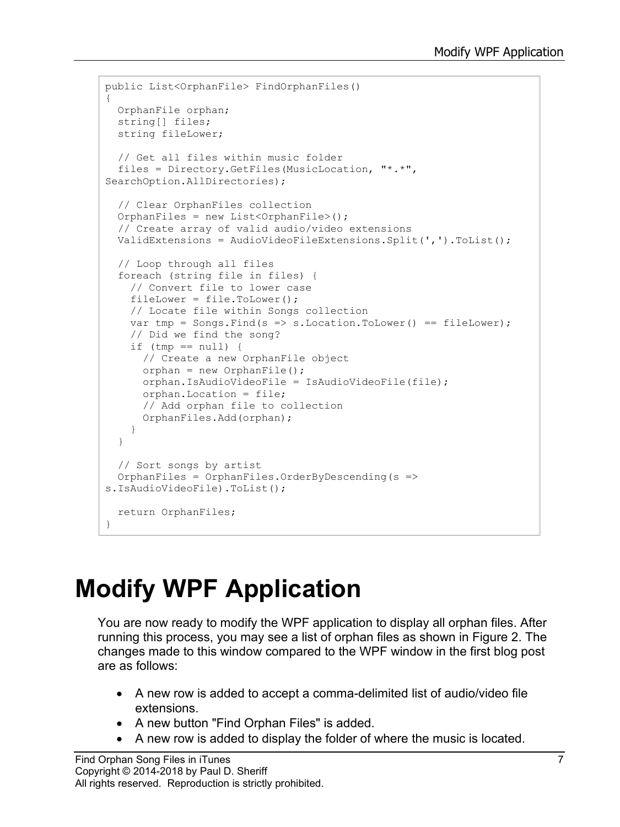```
public List<OrphanFile> FindOrphanFiles()
{
  OrphanFile orphan;
  string[] files;
  string fileLower;
   // Get all files within music folder
   files = Directory.GetFiles(MusicLocation, "*.*", 
SearchOption.AllDirectories);
   // Clear OrphanFiles collection
   OrphanFiles = new List<OrphanFile>();
   // Create array of valid audio/video extensions
   ValidExtensions = AudioVideoFileExtensions.Split(',').ToList();
   // Loop through all files
   foreach (string file in files) {
     // Convert file to lower case
     fileLower = file.ToLower();
     // Locate file within Songs collection
    var tmp = Songs.Find(s => s.Location.ToLower() == fileLower);
     // Did we find the song?
    if (tmp == null) {
       // Create a new OrphanFile object
       orphan = new OrphanFile();
       orphan.IsAudioVideoFile = IsAudioVideoFile(file);
       orphan.Location = file;
       // Add orphan file to collection
       OrphanFiles.Add(orphan);
     }
   }
   // Sort songs by artist
   OrphanFiles = OrphanFiles.OrderByDescending(s => 
s.IsAudioVideoFile).ToList();
   return OrphanFiles;
}
```
# **Modify WPF Application**

You are now ready to modify the WPF application to display all orphan files. After running this process, you may see a list of orphan files as shown in [Figure 2.](#page-7-0) The changes made to this window compared to the WPF window in the first blog post are as follows:

- A new row is added to accept a comma-delimited list of audio/video file extensions.
- A new button "Find Orphan Files" is added.
- A new row is added to display the folder of where the music is located.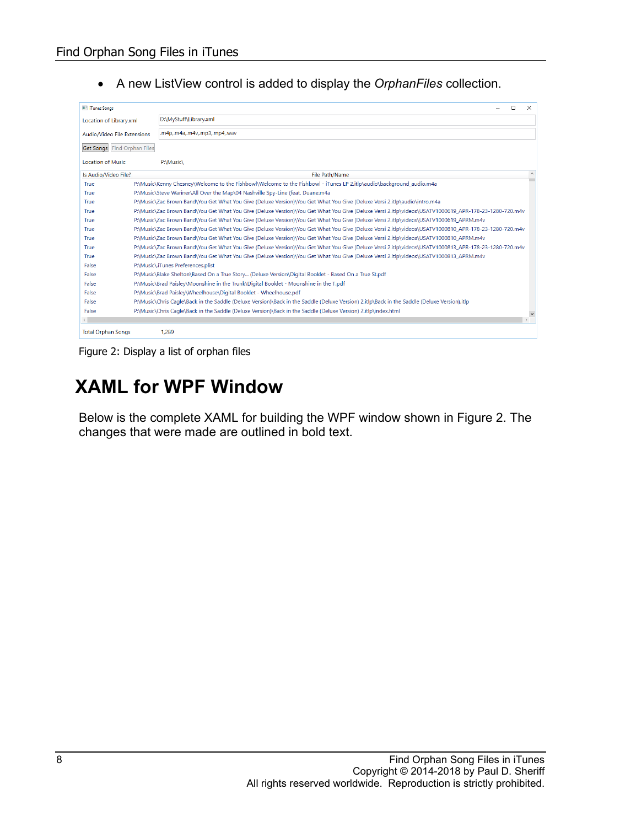• A new ListView control is added to display the *OrphanFiles* collection.

| <b>Tunes Songs</b>          | $\Box$                                                                                                                                                | $\times$ |
|-----------------------------|-------------------------------------------------------------------------------------------------------------------------------------------------------|----------|
| Location of Library.xml     | D:\MyStuff\Library.xml                                                                                                                                |          |
| Audio/Video File Extensions | .m4p,.m4a,.m4v,.mp3,.mp4,.wav                                                                                                                         |          |
| Get Songs Find Orphan Files |                                                                                                                                                       |          |
|                             |                                                                                                                                                       |          |
| <b>Location of Music</b>    | P:\Music\                                                                                                                                             |          |
| Is Audio/Video File?        | File Path/Name                                                                                                                                        |          |
| <b>True</b>                 | P:\Music\Kenny Chesney\Welcome to the Fishbowl\Welcome to the Fishbowl - iTunes LP 2.itlp\audio\background_audio.m4a                                  |          |
| True                        | P:\Music\Steve Wariner\All Over the Map\04 Nashville Spy-Line (feat. Duane.m4a                                                                        |          |
| True                        | P:\Music\Zac Brown Band\You Get What You Give (Deluxe Version)\You Get What You Give (Deluxe Versi 2.itlp\audio\intro.m4a                             |          |
| True                        | P:\Music\Zac Brown Band\You Get What You Give (Deluxe Version)\You Get What You Give (Deluxe Versi 2.itlp\videos\USATV1000619_APR-178-23-1280-720.m4v |          |
| True                        | P:\Music\Zac Brown Band\You Get What You Give (Deluxe Version)\You Get What You Give (Deluxe Versi 2.itlp\videos\USATV1000619_APRM.m4v                |          |
| True                        | P:\Music\Zac Brown Band\You Get What You Give (Deluxe Version)\You Get What You Give (Deluxe Versi 2.itlp\videos\USATV1000810_APR-178-23-1280-720.m4v |          |
| True                        | P:\Music\Zac Brown Band\You Get What You Give (Deluxe Version)\You Get What You Give (Deluxe Versi 2.itlp\videos\USATV1000810_APRM.m4v                |          |
| True                        | P:\Music\Zac Brown Band\You Get What You Give (Deluxe Version)\You Get What You Give (Deluxe Versi 2.itlp\videos\USATV1000813_APR-178-23-1280-720.m4v |          |
| True                        | P:\Music\Zac Brown Band\You Get What You Give (Deluxe Version)\You Get What You Give (Deluxe Versi 2.itlp\videos\USATV1000813_APRM.m4v                |          |
| False                       | P:\Music\.iTunes Preferences.plist                                                                                                                    |          |
| False                       | P:\Music\Blake Shelton\Based On a True Story (Deluxe Version\Digital Booklet - Based On a True St.pdf                                                 |          |
| False                       | P:\Music\Brad Paisley\Moonshine in the Trunk\Digital Booklet - Moonshine in the T.pdf                                                                 |          |
| False                       | P:\Music\Brad Paisley\Wheelhouse\Digital Booklet - Wheelhouse.pdf                                                                                     |          |
| False                       | P:\Music\Chris Cagle\Back in the Saddle (Deluxe Version)\Back in the Saddle (Deluxe Version) 2.itlp\Back in the Saddle (Deluxe Version).itlp          |          |
| False                       | P:\Music\Chris Cagle\Back in the Saddle (Deluxe Version)\Back in the Saddle (Deluxe Version) 2.itlp\index.html                                        |          |
|                             |                                                                                                                                                       |          |
| <b>Total Orphan Songs</b>   | 1.289                                                                                                                                                 |          |

<span id="page-7-0"></span>Figure 2: Display a list of orphan files

### **XAML for WPF Window**

Below is the complete XAML for building the WPF window shown in [Figure 2.](#page-7-0) The changes that were made are outlined in bold text.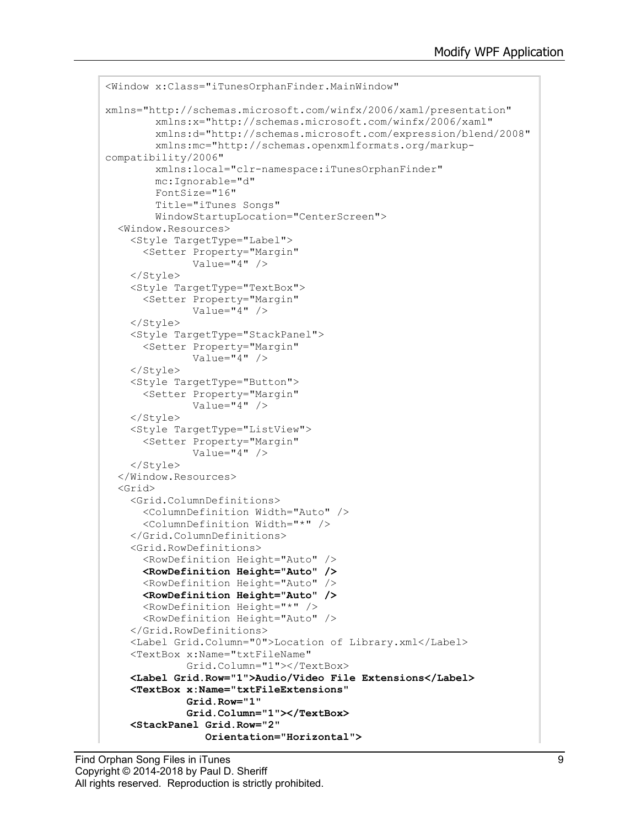```
<Window x:Class="iTunesOrphanFinder.MainWindow"
xmlns="http://schemas.microsoft.com/winfx/2006/xaml/presentation"
         xmlns:x="http://schemas.microsoft.com/winfx/2006/xaml"
         xmlns:d="http://schemas.microsoft.com/expression/blend/2008"
         xmlns:mc="http://schemas.openxmlformats.org/markup-
compatibility/2006"
         xmlns:local="clr-namespace:iTunesOrphanFinder"
         mc:Ignorable="d"
         FontSize="16"
         Title="iTunes Songs"
         WindowStartupLocation="CenterScreen">
   <Window.Resources>
     <Style TargetType="Label">
       <Setter Property="Margin"
              Value="4" />
     </Style>
     <Style TargetType="TextBox">
       <Setter Property="Margin"
               Value="4" />
     </Style>
     <Style TargetType="StackPanel">
       <Setter Property="Margin"
              Value="4" />
     </Style>
     <Style TargetType="Button">
       <Setter Property="Margin"
              Value="4" />
     </Style>
     <Style TargetType="ListView">
       <Setter Property="Margin"
               Value="4" />
     </Style>
   </Window.Resources>
   <Grid>
     <Grid.ColumnDefinitions>
       <ColumnDefinition Width="Auto" />
       <ColumnDefinition Width="*" />
     </Grid.ColumnDefinitions>
     <Grid.RowDefinitions>
       <RowDefinition Height="Auto" />
       <RowDefinition Height="Auto" />
       <RowDefinition Height="Auto" />
       <RowDefinition Height="Auto" />
       <RowDefinition Height="*" />
       <RowDefinition Height="Auto" />
     </Grid.RowDefinitions>
     <Label Grid.Column="0">Location of Library.xml</Label>
     <TextBox x:Name="txtFileName"
              Grid.Column="1"></TextBox>
     <Label Grid.Row="1">Audio/Video File Extensions</Label>
     <TextBox x:Name="txtFileExtensions"
              Grid.Row="1"
              Grid.Column="1"></TextBox>
     <StackPanel Grid.Row="2"
                 Orientation="Horizontal">
```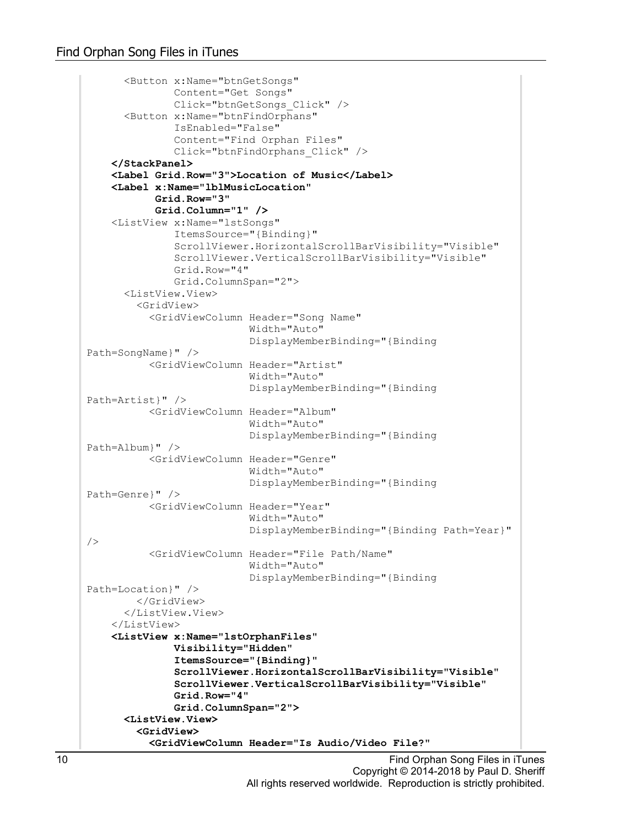```
 <Button x:Name="btnGetSongs"
               Content="Get Songs"
               Click="btnGetSongs_Click" />
       <Button x:Name="btnFindOrphans"
               IsEnabled="False"
               Content="Find Orphan Files"
               Click="btnFindOrphans_Click" />
     </StackPanel>
     <Label Grid.Row="3">Location of Music</Label>
     <Label x:Name="lblMusicLocation"
            Grid.Row="3"
            Grid.Column="1" />
     <ListView x:Name="lstSongs"
               ItemsSource="{Binding}"
               ScrollViewer.HorizontalScrollBarVisibility="Visible"
               ScrollViewer.VerticalScrollBarVisibility="Visible"
               Grid.Row="4"
               Grid.ColumnSpan="2">
       <ListView.View>
         <GridView>
           <GridViewColumn Header="Song Name"
                            Width="Auto"
                           DisplayMemberBinding="{Binding 
Path=SongName}" />
           <GridViewColumn Header="Artist"
                            Width="Auto"
                           DisplayMemberBinding="{Binding 
Path=Artist}" />
           <GridViewColumn Header="Album"
                            Width="Auto"
                           DisplayMemberBinding="{Binding 
Path=Album}" />
           <GridViewColumn Header="Genre"
                            Width="Auto"
                           DisplayMemberBinding="{Binding 
Path=Genre}" />
           <GridViewColumn Header="Year"
                            Width="Auto"
                           DisplayMemberBinding="{Binding Path=Year}" 
/>
           <GridViewColumn Header="File Path/Name"
                            Width="Auto"
                           DisplayMemberBinding="{Binding 
Path=Location}" />
         </GridView>
       </ListView.View>
     </ListView>
     <ListView x:Name="lstOrphanFiles"
               Visibility="Hidden"
                ItemsSource="{Binding}"
                ScrollViewer.HorizontalScrollBarVisibility="Visible"
               ScrollViewer.VerticalScrollBarVisibility="Visible"
               Grid.Row="4"
               Grid.ColumnSpan="2">
       <ListView.View>
         <GridView>
           <GridViewColumn Header="Is Audio/Video File?"
```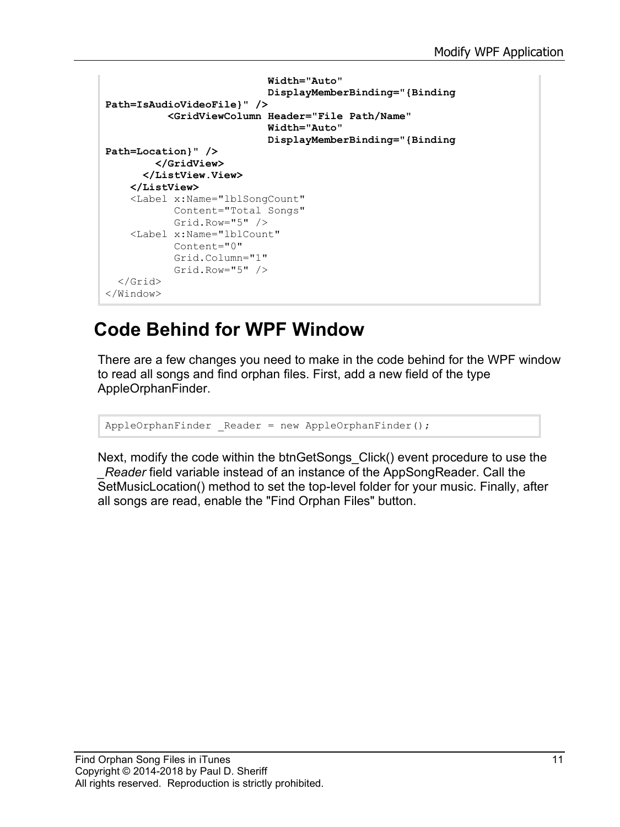```
 Width="Auto"
                           DisplayMemberBinding="{Binding 
Path=IsAudioVideoFile}" />
           <GridViewColumn Header="File Path/Name"
                            Width="Auto"
                           DisplayMemberBinding="{Binding 
Path=Location}" />
        </GridView>
      </ListView.View>
     </ListView>
     <Label x:Name="lblSongCount"
           Content="Total Songs"
           Grid.Row="5" />
     <Label x:Name="lblCount"
            Content="0"
            Grid.Column="1"
            Grid.Row="5" />
   </Grid>
</Window>
```
#### **Code Behind for WPF Window**

There are a few changes you need to make in the code behind for the WPF window to read all songs and find orphan files. First, add a new field of the type AppleOrphanFinder.

AppleOrphanFinder \_Reader = new AppleOrphanFinder();

Next, modify the code within the btnGetSongs\_Click() event procedure to use the *\_Reader* field variable instead of an instance of the AppSongReader. Call the SetMusicLocation() method to set the top-level folder for your music. Finally, after all songs are read, enable the "Find Orphan Files" button.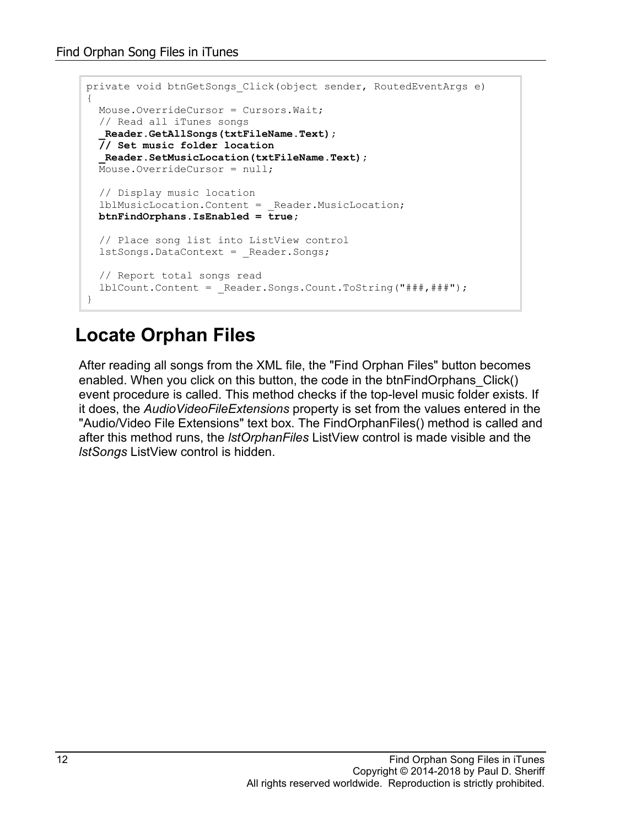```
private void btnGetSongs_Click(object sender, RoutedEventArgs e)
{
  Mouse.OverrideCursor = Cursors.Wait;
   // Read all iTunes songs
   _Reader.GetAllSongs(txtFileName.Text);
   // Set music folder location
   _Reader.SetMusicLocation(txtFileName.Text);
  Mouse.OverrideCursor = null;
   // Display music location
   lblMusicLocation.Content = _Reader.MusicLocation;
  btnFindOrphans.IsEnabled = true;
   // Place song list into ListView control
  lstSongs.DataContext = Reader.Songs;
   // Report total songs read
   lblCount.Content = _Reader.Songs.Count.ToString("###,###");
}
```
#### **Locate Orphan Files**

After reading all songs from the XML file, the "Find Orphan Files" button becomes enabled. When you click on this button, the code in the btnFindOrphans\_Click() event procedure is called. This method checks if the top-level music folder exists. If it does, the *AudioVideoFileExtensions* property is set from the values entered in the "Audio/Video File Extensions" text box. The FindOrphanFiles() method is called and after this method runs, the *lstOrphanFiles* ListView control is made visible and the *lstSongs* ListView control is hidden.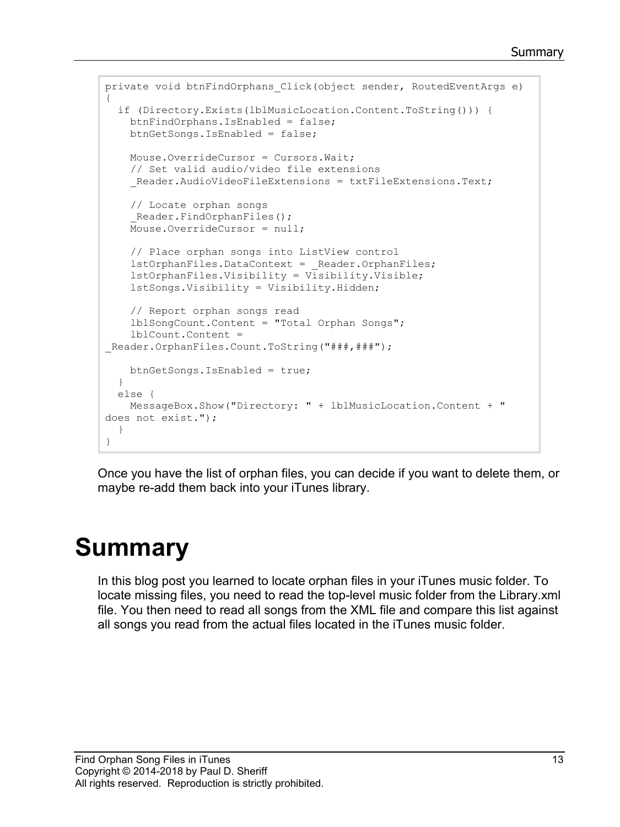```
private void btnFindOrphans_Click(object sender, RoutedEventArgs e)
{
   if (Directory.Exists(lblMusicLocation.Content.ToString())) {
     btnFindOrphans.IsEnabled = false;
     btnGetSongs.IsEnabled = false;
     Mouse.OverrideCursor = Cursors.Wait;
     // Set valid audio/video file extensions
    Reader.AudioVideoFileExtensions = txtFileExtensions.Text;
     // Locate orphan songs
    Reader.FindOrphanFiles();
     Mouse.OverrideCursor = null;
     // Place orphan songs into ListView control
     lstOrphanFiles.DataContext = _Reader.OrphanFiles;
     lstOrphanFiles.Visibility = Visibility.Visible;
     lstSongs.Visibility = Visibility.Hidden;
     // Report orphan songs read
     lblSongCount.Content = "Total Orphan Songs";
     lblCount.Content = 
_Reader.OrphanFiles.Count.ToString("###,###");
     btnGetSongs.IsEnabled = true;
   }
  else {
    MessageBox.Show("Directory: " + lblMusicLocation.Content + " 
does not exist.");
   }
}
```
Once you have the list of orphan files, you can decide if you want to delete them, or maybe re-add them back into your iTunes library.

# **Summary**

In this blog post you learned to locate orphan files in your iTunes music folder. To locate missing files, you need to read the top-level music folder from the Library.xml file. You then need to read all songs from the XML file and compare this list against all songs you read from the actual files located in the iTunes music folder.